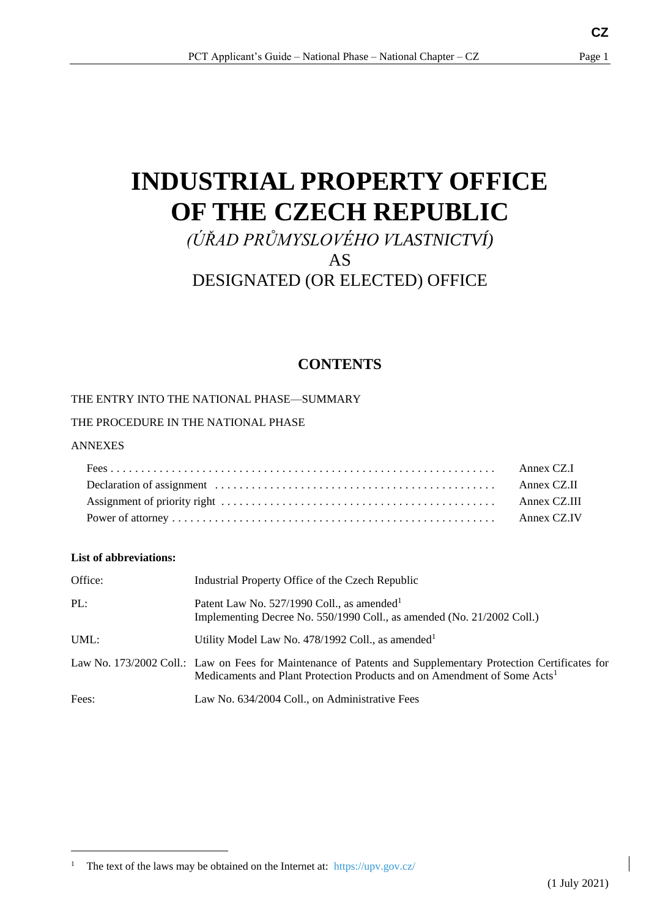# **INDUSTRIAL PROPERTY OFFICE OF THE CZECH REPUBLIC**

## *(ÚŘAD PRŮMYSLOVÉHO VLASTNICTVÍ)* AS DESIGNATED (OR ELECTED) OFFICE

### <span id="page-0-0"></span>**CONTENTS**

#### THE ENTRY INTO THE NATIONAL PHASE—SUMMARY

#### THE PROCEDURE IN THE NATIONAL PHASE

#### ANNEXES

-

#### **List of abbreviations:**

| Office: | Industrial Property Office of the Czech Republic                                                                                                                                                     |
|---------|------------------------------------------------------------------------------------------------------------------------------------------------------------------------------------------------------|
| PL:     | Patent Law No. $527/1990$ Coll., as amended <sup>1</sup><br>Implementing Decree No. 550/1990 Coll., as amended (No. 21/2002 Coll.)                                                                   |
| UML:    | Utility Model Law No. 478/1992 Coll., as amended $l^1$                                                                                                                                               |
|         | Law No. 173/2002 Coll.: Law on Fees for Maintenance of Patents and Supplementary Protection Certificates for<br>Medicaments and Plant Protection Products and on Amendment of Some Acts <sup>1</sup> |
| Fees:   | Law No. 634/2004 Coll., on Administrative Fees                                                                                                                                                       |

<sup>&</sup>lt;sup>1</sup> The text of the laws may be obtained on the Internet at: https://upv.gov.cz/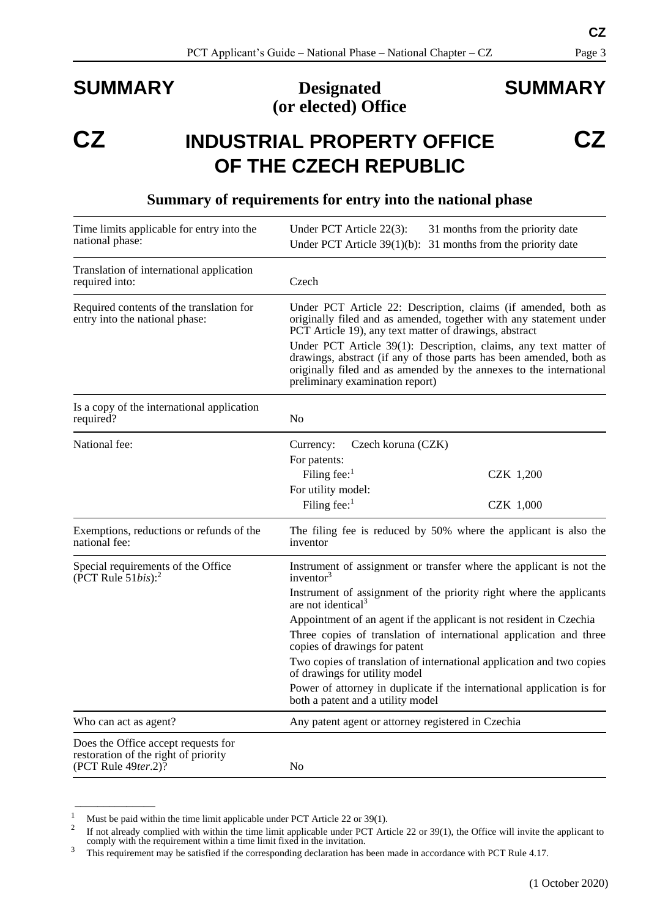### **SUMMARY Designated (or elected) Office**

## **SUMMARY**

## **CZ INDUSTRIAL PROPERTY OFFICE OF THE CZECH REPUBLIC**

| Time limits applicable for entry into the<br>national phase:                                       | Under PCT Article 22(3):<br>31 months from the priority date<br>Under PCT Article $39(1)(b)$ : 31 months from the priority date                                                                                                                   |  |  |
|----------------------------------------------------------------------------------------------------|---------------------------------------------------------------------------------------------------------------------------------------------------------------------------------------------------------------------------------------------------|--|--|
| Translation of international application<br>required into:                                         | Czech                                                                                                                                                                                                                                             |  |  |
| Required contents of the translation for<br>entry into the national phase:                         | Under PCT Article 22: Description, claims (if amended, both as<br>originally filed and as amended, together with any statement under<br>PCT Article 19), any text matter of drawings, abstract                                                    |  |  |
|                                                                                                    | Under PCT Article 39(1): Description, claims, any text matter of<br>drawings, abstract (if any of those parts has been amended, both as<br>originally filed and as amended by the annexes to the international<br>preliminary examination report) |  |  |
| Is a copy of the international application<br>required?                                            | No                                                                                                                                                                                                                                                |  |  |
| National fee:                                                                                      | Czech koruna (CZK)<br>Currency:<br>For patents:                                                                                                                                                                                                   |  |  |
|                                                                                                    | Filing fee: $1$<br>CZK 1,200                                                                                                                                                                                                                      |  |  |
|                                                                                                    | For utility model:                                                                                                                                                                                                                                |  |  |
|                                                                                                    | Filing fee: $1$<br>CZK 1,000                                                                                                                                                                                                                      |  |  |
| Exemptions, reductions or refunds of the<br>national fee:                                          | The filing fee is reduced by 50% where the applicant is also the<br>inventor                                                                                                                                                                      |  |  |
| Special requirements of the Office<br>(PCT Rule $51bis$ ): <sup>2</sup>                            | Instrument of assignment or transfer where the applicant is not the<br>inventor $3$                                                                                                                                                               |  |  |
|                                                                                                    | Instrument of assignment of the priority right where the applicants<br>are not identical <sup>3</sup>                                                                                                                                             |  |  |
|                                                                                                    | Appointment of an agent if the applicant is not resident in Czechia                                                                                                                                                                               |  |  |
|                                                                                                    | Three copies of translation of international application and three<br>copies of drawings for patent                                                                                                                                               |  |  |
|                                                                                                    | Two copies of translation of international application and two copies<br>of drawings for utility model                                                                                                                                            |  |  |
|                                                                                                    | Power of attorney in duplicate if the international application is for<br>both a patent and a utility model                                                                                                                                       |  |  |
| Who can act as agent?                                                                              | Any patent agent or attorney registered in Czechia                                                                                                                                                                                                |  |  |
| Does the Office accept requests for<br>restoration of the right of priority<br>(PCT Rule 49ter.2)? | N <sub>0</sub>                                                                                                                                                                                                                                    |  |  |

#### <span id="page-1-0"></span>**Summary of requirements for entry into the national phase**

<span id="page-1-1"></span> $\overline{\phantom{a}}$  , where  $\overline{\phantom{a}}$ 

**CZ**

<sup>&</sup>lt;sup>1</sup> Must be paid within the time limit applicable under PCT Article 22 or 39(1).

<sup>2</sup> If not already complied with within the time limit applicable under PCT Article 22 or 39(1), the Office will invite the applicant to comply with the requirement within a time limit fixed in the invitation.

<sup>&</sup>lt;sup>3</sup> This requirement may be satisfied if the corresponding declaration has been made in accordance with PCT Rule 4.17.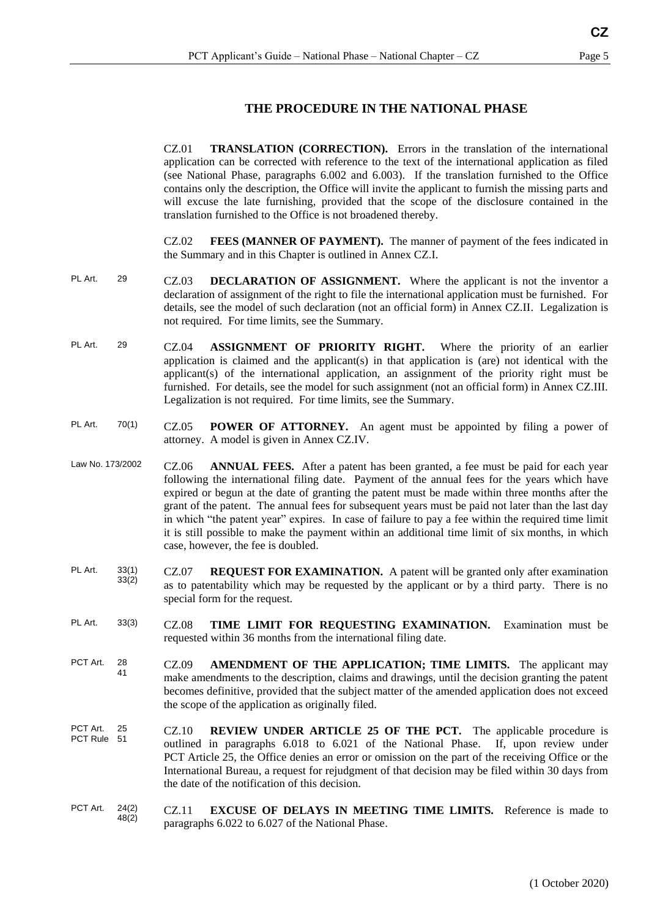#### **THE PROCEDURE IN THE NATIONAL PHASE**

|                         |                | <b>TRANSLATION (CORRECTION).</b> Errors in the translation of the international<br>CZ.01<br>application can be corrected with reference to the text of the international application as filed<br>(see National Phase, paragraphs 6.002 and 6.003). If the translation furnished to the Office<br>contains only the description, the Office will invite the applicant to furnish the missing parts and<br>will excuse the late furnishing, provided that the scope of the disclosure contained in the<br>translation furnished to the Office is not broadened thereby.                                                                                  |
|-------------------------|----------------|--------------------------------------------------------------------------------------------------------------------------------------------------------------------------------------------------------------------------------------------------------------------------------------------------------------------------------------------------------------------------------------------------------------------------------------------------------------------------------------------------------------------------------------------------------------------------------------------------------------------------------------------------------|
|                         |                | CZ.02<br><b>FEES (MANNER OF PAYMENT).</b> The manner of payment of the fees indicated in<br>the Summary and in this Chapter is outlined in Annex CZ.I.                                                                                                                                                                                                                                                                                                                                                                                                                                                                                                 |
| PL Art.                 | 29             | CZ.03<br><b>DECLARATION OF ASSIGNMENT.</b> Where the applicant is not the inventor a<br>declaration of assignment of the right to file the international application must be furnished. For<br>details, see the model of such declaration (not an official form) in Annex CZ.II. Legalization is<br>not required. For time limits, see the Summary.                                                                                                                                                                                                                                                                                                    |
| PL Art.                 | 29             | ASSIGNMENT OF PRIORITY RIGHT. Where the priority of an earlier<br>CZ.04<br>application is claimed and the applicant(s) in that application is (are) not identical with the<br>applicant(s) of the international application, an assignment of the priority right must be<br>furnished. For details, see the model for such assignment (not an official form) in Annex CZ.III.<br>Legalization is not required. For time limits, see the Summary.                                                                                                                                                                                                       |
| PL Art.                 | 70(1)          | CZ.05<br><b>POWER OF ATTORNEY.</b> An agent must be appointed by filing a power of<br>attorney. A model is given in Annex CZ.IV.                                                                                                                                                                                                                                                                                                                                                                                                                                                                                                                       |
| Law No. 173/2002        |                | CZ.06<br><b>ANNUAL FEES.</b> After a patent has been granted, a fee must be paid for each year<br>following the international filing date. Payment of the annual fees for the years which have<br>expired or begun at the date of granting the patent must be made within three months after the<br>grant of the patent. The annual fees for subsequent years must be paid not later than the last day<br>in which "the patent year" expires. In case of failure to pay a fee within the required time limit<br>it is still possible to make the payment within an additional time limit of six months, in which<br>case, however, the fee is doubled. |
| PL Art.                 | 33(1)<br>33(2) | <b>REQUEST FOR EXAMINATION.</b> A patent will be granted only after examination<br>CZ.07<br>as to patentability which may be requested by the applicant or by a third party. There is no<br>special form for the request.                                                                                                                                                                                                                                                                                                                                                                                                                              |
| PL Art.                 | 33(3)          | TIME LIMIT FOR REQUESTING EXAMINATION.<br><b>CZ.08</b><br>Examination must be<br>requested within 36 months from the international filing date.                                                                                                                                                                                                                                                                                                                                                                                                                                                                                                        |
| PCT Art.                | 28<br>41       | CZ.09<br><b>AMENDMENT OF THE APPLICATION; TIME LIMITS.</b> The applicant may<br>make amendments to the description, claims and drawings, until the decision granting the patent<br>becomes definitive, provided that the subject matter of the amended application does not exceed<br>the scope of the application as originally filed.                                                                                                                                                                                                                                                                                                                |
| PCT Art.<br>PCT Rule 51 | 25             | CZ.10<br><b>REVIEW UNDER ARTICLE 25 OF THE PCT.</b> The applicable procedure is<br>outlined in paragraphs 6.018 to 6.021 of the National Phase. If, upon review under<br>PCT Article 25, the Office denies an error or omission on the part of the receiving Office or the<br>International Bureau, a request for rejudgment of that decision may be filed within 30 days from<br>the date of the notification of this decision.                                                                                                                                                                                                                       |
| PCT Art.                | 24(2)<br>48(2) | <b>EXCUSE OF DELAYS IN MEETING TIME LIMITS.</b> Reference is made to<br>CZ.11<br>paragraphs 6.022 to 6.027 of the National Phase.                                                                                                                                                                                                                                                                                                                                                                                                                                                                                                                      |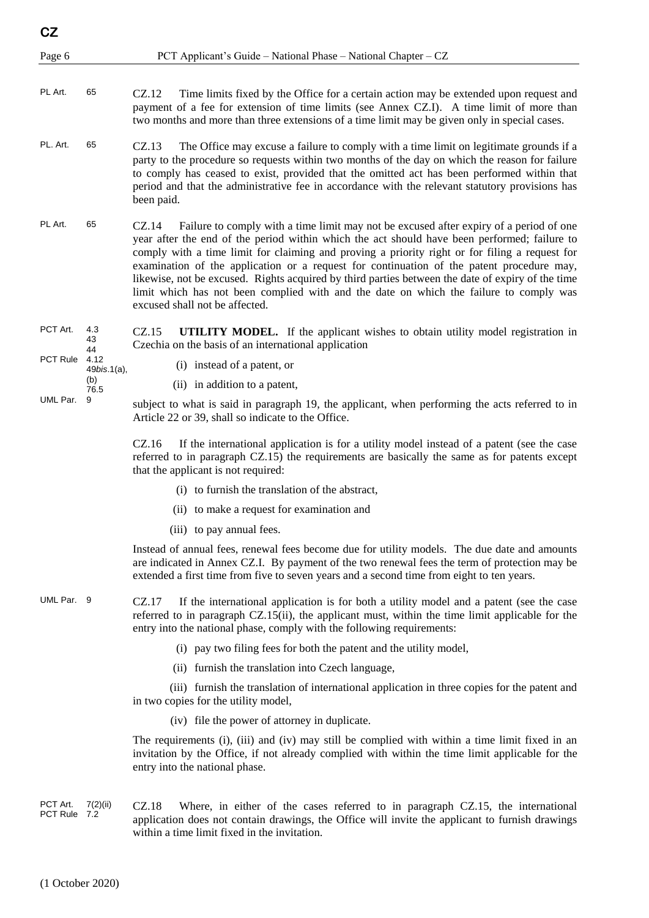- PL Art. 65 CZ.12 Time limits fixed by the Office for a certain action may be extended upon request and payment of a fee for extension of time limits (see Annex CZ.I). A time limit of more than two months and more than three extensions of a time limit may be given only in special cases.
- PL. Art. 65 CZ.13 The Office may excuse a failure to comply with a time limit on legitimate grounds if a party to the procedure so requests within two months of the day on which the reason for failure to comply has ceased to exist, provided that the omitted act has been performed within that period and that the administrative fee in accordance with the relevant statutory provisions has been paid.
- PL Art. 65 CZ.14 Failure to comply with a time limit may not be excused after expiry of a period of one year after the end of the period within which the act should have been performed; failure to comply with a time limit for claiming and proving a priority right or for filing a request for examination of the application or a request for continuation of the patent procedure may, likewise, not be excused. Rights acquired by third parties between the date of expiry of the time limit which has not been complied with and the date on which the failure to comply was excused shall not be affected.
- PCT Art. 4.3 43 44 CZ.15 **UTILITY MODEL.** If the applicant wishes to obtain utility model registration in Czechia on the basis of an international application
- PCT Rule 4.12 49*bis*.1(a),

(b) 76.5

- (i) instead of a patent, or
- (ii) in addition to a patent,
- UML Par. 9 subject to what is said in paragraph 19, the applicant, when performing the acts referred to in Article 22 or 39, shall so indicate to the Office.

CZ.16 If the international application is for a utility model instead of a patent (see the case referred to in paragraph CZ.15) the requirements are basically the same as for patents except that the applicant is not required:

- (i) to furnish the translation of the abstract,
- (ii) to make a request for examination and
- (iii) to pay annual fees.

Instead of annual fees, renewal fees become due for utility models. The due date and amounts are indicated in Annex CZ.I. By payment of the two renewal fees the term of protection may be extended a first time from five to seven years and a second time from eight to ten years.

UML Par. 9 CZ.17 If the international application is for both a utility model and a patent (see the case referred to in paragraph CZ.15(ii), the applicant must, within the time limit applicable for the entry into the national phase, comply with the following requirements:

- (i) pay two filing fees for both the patent and the utility model,
- (ii) furnish the translation into Czech language,

(iii) furnish the translation of international application in three copies for the patent and in two copies for the utility model,

(iv) file the power of attorney in duplicate.

The requirements (i), (iii) and (iv) may still be complied with within a time limit fixed in an invitation by the Office, if not already complied with within the time limit applicable for the entry into the national phase.

PCT Art. 7(2)(ii) PCT Rule 7.2 CZ.18 Where, in either of the cases referred to in paragraph CZ.15, the international application does not contain drawings, the Office will invite the applicant to furnish drawings within a time limit fixed in the invitation.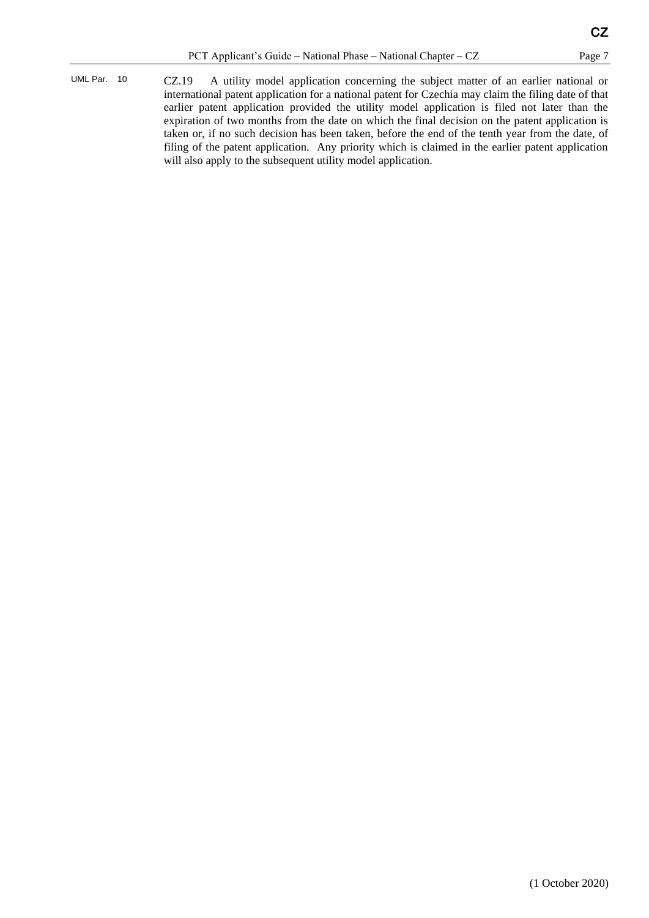UML Par. 10 CZ.19 A utility model application concerning the subject matter of an earlier national or international patent application for a national patent for Czechia may claim the filing date of that earlier patent application provided the utility model application is filed not later than the expiration of two months from the date on which the final decision on the patent application is taken or, if no such decision has been taken, before the end of the tenth year from the date, of filing of the patent application. Any priority which is claimed in the earlier patent application will also apply to the subsequent utility model application.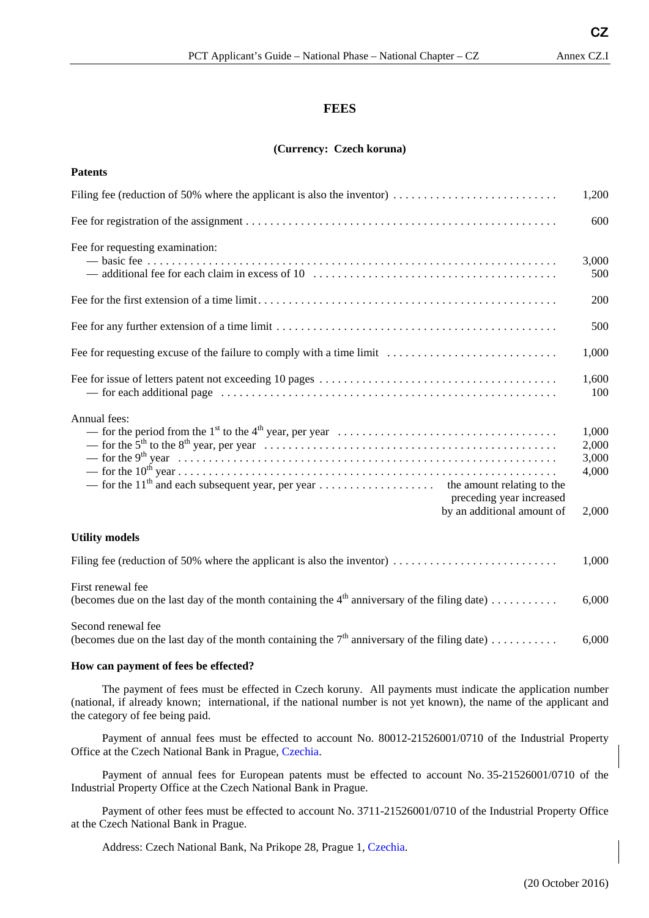#### **FEES**

#### **(Currency: Czech koruna)**

| <b>Patents</b>                                                                                                                                                                                                                      |                                           |
|-------------------------------------------------------------------------------------------------------------------------------------------------------------------------------------------------------------------------------------|-------------------------------------------|
| Filing fee (reduction of 50% where the applicant is also the inventor) $\dots \dots \dots \dots \dots \dots \dots \dots$                                                                                                            | 1,200                                     |
|                                                                                                                                                                                                                                     | 600                                       |
| Fee for requesting examination:                                                                                                                                                                                                     | 3,000<br>500                              |
|                                                                                                                                                                                                                                     | 200                                       |
|                                                                                                                                                                                                                                     | 500                                       |
| Fee for requesting excuse of the failure to comply with a time limit                                                                                                                                                                | 1,000                                     |
|                                                                                                                                                                                                                                     | 1,600<br>100                              |
| Annual fees:<br>— for the period from the 1 <sup>st</sup> to the 4 <sup>th</sup> year, per year $\dots \dots \dots \dots \dots \dots \dots \dots \dots \dots \dots \dots$<br>preceding year increased<br>by an additional amount of | 1,000<br>2,000<br>3,000<br>4,000<br>2,000 |
| <b>Utility models</b>                                                                                                                                                                                                               |                                           |
| Filing fee (reduction of 50% where the applicant is also the inventor) $\dots \dots \dots \dots \dots \dots \dots \dots$                                                                                                            | 1,000                                     |
| First renewal fee<br>(becomes due on the last day of the month containing the $4th$ anniversary of the filing date)                                                                                                                 | 6,000                                     |
| Second renewal fee<br>(becomes due on the last day of the month containing the $7th$ anniversary of the filing date)                                                                                                                | 6,000                                     |

#### **How can payment of fees be effected?**

The payment of fees must be effected in Czech koruny. All payments must indicate the application number (national, if already known; international, if the national number is not yet known), the name of the applicant and the category of fee being paid.

Payment of annual fees must be effected to account No. 80012-21526001/0710 of the Industrial Property Office at the Czech National Bank in Prague, Czechia.

Payment of annual fees for European patents must be effected to account No. 35-21526001/0710 of the Industrial Property Office at the Czech National Bank in Prague.

Payment of other fees must be effected to account No. 3711-21526001/0710 of the Industrial Property Office at the Czech National Bank in Prague.

Address: Czech National Bank, Na Prikope 28, Prague 1, Czechia.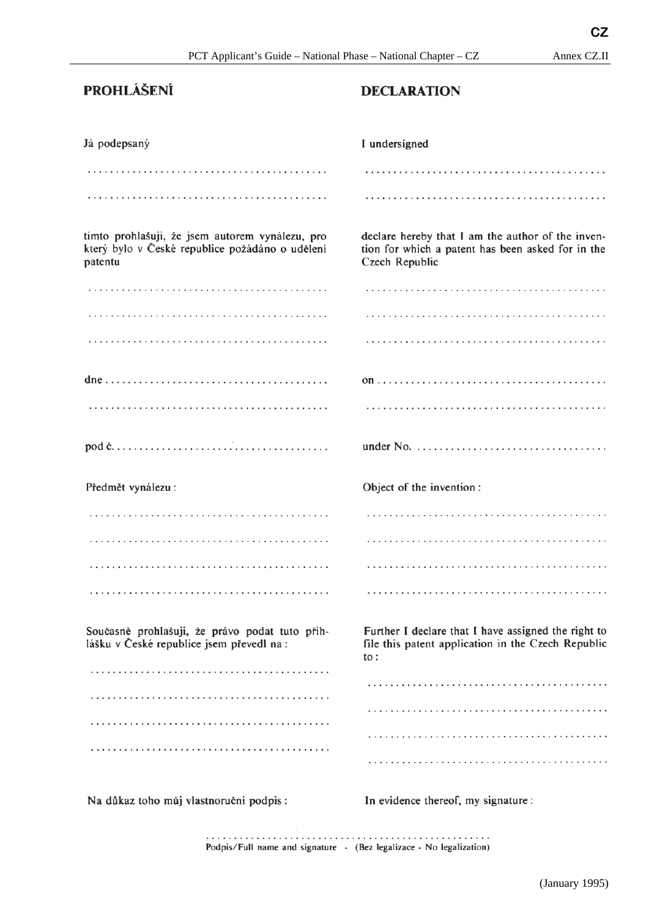### **PROHLÁŠENÍ**

#### **DECLARATION**

| Já podepsaný                                                                                                  | I undersigned                                                                                                                |
|---------------------------------------------------------------------------------------------------------------|------------------------------------------------------------------------------------------------------------------------------|
|                                                                                                               |                                                                                                                              |
|                                                                                                               |                                                                                                                              |
| timto prohlašuji, že jsem autorem vynálezu, pro<br>který bylo v České republice požádáno o udělení<br>patentu | declare hereby that I am the author of the inven-<br>tion for which a patent has been asked for in the<br>Czech Republic     |
|                                                                                                               |                                                                                                                              |
|                                                                                                               |                                                                                                                              |
|                                                                                                               |                                                                                                                              |
|                                                                                                               |                                                                                                                              |
|                                                                                                               |                                                                                                                              |
|                                                                                                               |                                                                                                                              |
|                                                                                                               |                                                                                                                              |
| Předmět vynálezu:                                                                                             | Object of the invention:                                                                                                     |
|                                                                                                               |                                                                                                                              |
|                                                                                                               |                                                                                                                              |
|                                                                                                               |                                                                                                                              |
|                                                                                                               |                                                                                                                              |
| Současně prohlašuji, že právo podat tuto přih-<br>lášku v České republice jsem převedl na:                    | Further I declare that I have assigned the right to<br>file this patent application in the Czech Republic<br>$\mathsf{to}$ : |
|                                                                                                               |                                                                                                                              |
|                                                                                                               |                                                                                                                              |
|                                                                                                               |                                                                                                                              |

Na důkaz toho můj vlastnoruční podpis:

In evidence thereof, my signature:

Podpis/Full name and signature - (Bez legalizace - No legalization)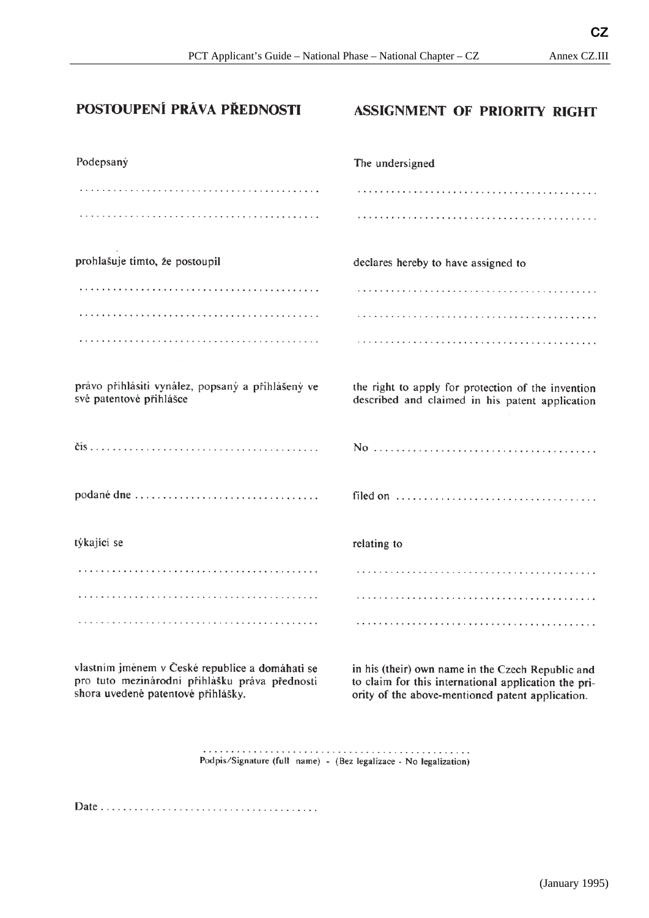**CZ** 

#### POSTOUPENÍ PRÁVA PŘEDNOSTI

#### **ASSIGNMENT OF PRIORITY RIGHT**

| Podepsaný                                                                                             | The undersigned                                                                                       |
|-------------------------------------------------------------------------------------------------------|-------------------------------------------------------------------------------------------------------|
|                                                                                                       |                                                                                                       |
|                                                                                                       |                                                                                                       |
| prohlašuje timto, že postoupil                                                                        | declares hereby to have assigned to                                                                   |
|                                                                                                       |                                                                                                       |
|                                                                                                       |                                                                                                       |
|                                                                                                       |                                                                                                       |
| právo přihlásiti vynález, popsaný a přihlášený ve<br>své patentové přihlášce                          | the right to apply for protection of the invention<br>described and claimed in his patent application |
|                                                                                                       |                                                                                                       |
| podané dne                                                                                            |                                                                                                       |
| týkající se                                                                                           | relating to                                                                                           |
|                                                                                                       |                                                                                                       |
|                                                                                                       |                                                                                                       |
|                                                                                                       |                                                                                                       |
| vlastním iménem v České republice a domáhati se contra his (their) ovn name in the Czech Bonublic and |                                                                                                       |

vlastním jmenem v České republice a domáhatí se pro tuto mezinárodní přihlášku práva přednosti shora uvedené patentové přihlášky.

in his (their) own name in the Czech Republic and to claim for this international application the priority of the above-mentioned patent application.

Podpis/Signature (full name) - (Bez legalizace - No legalization)